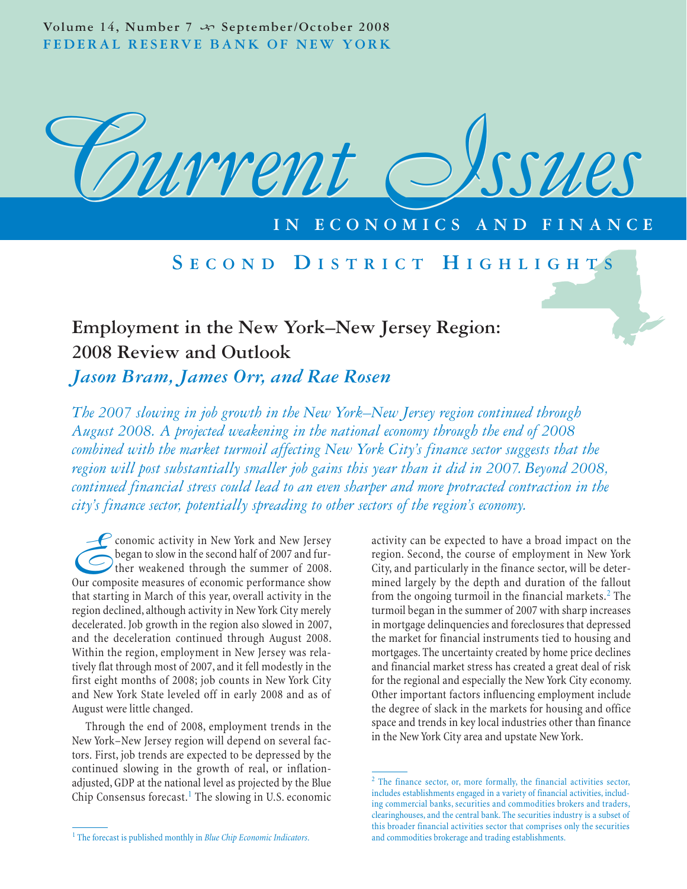Volume 14, Number 7  $\rightsquigarrow$  September/October 2008 **FEDERAL RESERVE BANK OF NEW YORK**



# **ECONOMICS**

# **S ECOND D ISTRICT H IGHLIGHTS**

# **Employment in the New York–New Jersey Region: 2008 Review and Outlook**

*Jason Bram, James Orr, and Rae Rosen*

*The 2007 slowing in job growth in the New York–New Jersey region continued through August 2008. A projected weakening in the national economy through the end of 2008 combined with the market turmoil affecting New York City's finance sector suggests that the region will post substantially smaller job gains this year than it did in 2007. Beyond 2008, continued financial stress could lead to an even sharper and more protracted contraction in the city's finance sector, potentially spreading to other sectors of the region's economy.*

**Exercise 1995** Conomic activity in New York and New Jersey<br>began to slow in the second half of 2007 and fur-<br>ther weakened through the summer of 2008.<br>Our composite measures of economic performance show began to slow in the second half of 2007 and further weakened through the summer of 2008. Our composite measures of economic performance show that starting in March of this year, overall activity in the region declined, although activity in New York City merely decelerated. Job growth in the region also slowed in 2007, and the deceleration continued through August 2008. Within the region, employment in New Jersey was relatively flat through most of 2007, and it fell modestly in the first eight months of 2008; job counts in New York City and New York State leveled off in early 2008 and as of August were little changed.

Through the end of 2008, employment trends in the New York–New Jersey region will depend on several factors. First, job trends are expected to be depressed by the continued slowing in the growth of real, or inflationadjusted, GDP at the national level as projected by the Blue Chip Consensus forecast.<sup>1</sup> The slowing in U.S. economic activity can be expected to have a broad impact on the region. Second, the course of employment in New York City, and particularly in the finance sector, will be determined largely by the depth and duration of the fallout from the ongoing turmoil in the financial markets. $2$  The turmoil began in the summer of 2007 with sharp increases in mortgage delinquencies and foreclosures that depressed the market for financial instruments tied to housing and mortgages. The uncertainty created by home price declines and financial market stress has created a great deal of risk for the regional and especially the New York City economy. Other important factors influencing employment include the degree of slack in the markets for housing and office space and trends in key local industries other than finance in the New York City area and upstate New York.

<sup>&</sup>lt;sup>2</sup> The finance sector, or, more formally, the financial activities sector, includes establishments engaged in a variety of financial activities, including commercial banks, securities and commodities brokers and traders, clearinghouses, and the central bank. The securities industry is a subset of this broader financial activities sector that comprises only the securities and commodities brokerage and trading establishments.

<sup>1</sup> The forecast is published monthly in *Blue Chip Economic Indicators*.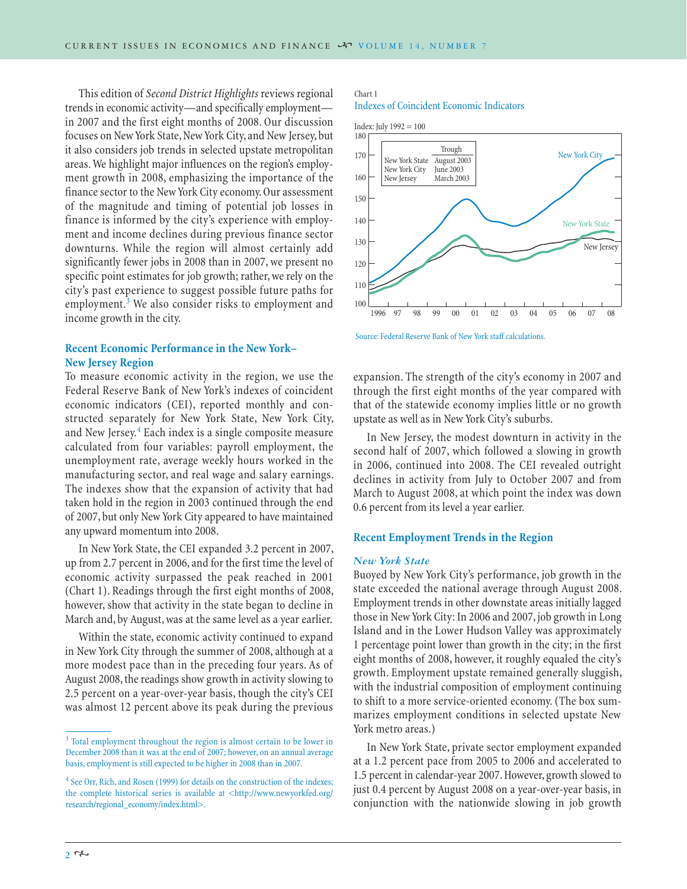This edition of *Second District Highlights* reviews regional trends in economic activity—and specifically employment in 2007 and the first eight months of 2008. Our discussion focuses on New York State, New York City, and New Jersey, but it also considers job trends in selected upstate metropolitan areas. We highlight major influences on the region's employment growth in 2008, emphasizing the importance of the finance sector to the New York City economy. Our assessment of the magnitude and timing of potential job losses in finance is informed by the city's experience with employment and income declines during previous finance sector downturns. While the region will almost certainly add significantly fewer jobs in 2008 than in 2007, we present no specific point estimates for job growth; rather, we rely on the city's past experience to suggest possible future paths for employment.<sup>3</sup> We also consider risks to employment and income growth in the city.

# **Recent Economic Performance in the New York– New Jersey Region**

To measure economic activity in the region, we use the Federal Reserve Bank of New York's indexes of coincident economic indicators (CEI), reported monthly and constructed separately for New York State, New York City, and New Jersey.<sup>4</sup> Each index is a single composite measure calculated from four variables: payroll employment, the unemployment rate, average weekly hours worked in the manufacturing sector, and real wage and salary earnings. The indexes show that the expansion of activity that had taken hold in the region in 2003 continued through the end of 2007, but only New York City appeared to have maintained any upward momentum into 2008.

In New York State, the CEI expanded 3.2 percent in 2007, up from 2.7 percent in 2006, and for the first time the level of economic activity surpassed the peak reached in 2001 (Chart 1). Readings through the first eight months of 2008, however, show that activity in the state began to decline in March and, by August, was at the same level as a year earlier.

Within the state, economic activity continued to expand in New York City through the summer of 2008, although at a more modest pace than in the preceding four years. As of August 2008, the readings show growth in activity slowing to 2.5 percent on a year-over-year basis, though the city's CEI was almost 12 percent above its peak during the previous

# Chart 1

Indexes of Coincident Economic Indicators





expansion. The strength of the city's economy in 2007 and through the first eight months of the year compared with that of the statewide economy implies little or no growth upstate as well as in New York City's suburbs.

In New Jersey, the modest downturn in activity in the second half of 2007, which followed a slowing in growth in 2006, continued into 2008. The CEI revealed outright declines in activity from July to October 2007 and from March to August 2008, at which point the index was down 0.6 percent from its level a year earlier.

# **Recent Employment Trends in the Region**

#### *New York State*

Buoyed by New York City's performance, job growth in the state exceeded the national average through August 2008. Employment trends in other downstate areas initially lagged those in New York City: In 2006 and 2007, job growth in Long Island and in the Lower Hudson Valley was approximately 1 percentage point lower than growth in the city; in the first eight months of 2008, however, it roughly equaled the city's growth. Employment upstate remained generally sluggish, with the industrial composition of employment continuing to shift to a more service-oriented economy. (The box summarizes employment conditions in selected upstate New York metro areas.)

In New York State, private sector employment expanded at a 1.2 percent pace from 2005 to 2006 and accelerated to 1.5 percent in calendar-year 2007. However, growth slowed to just 0.4 percent by August 2008 on a year-over-year basis, in conjunction with the nationwide slowing in job growth

<sup>&</sup>lt;sup>3</sup> Total employment throughout the region is almost certain to be lower in December 2008 than it was at the end of 2007; however, on an annual average basis, employment is still expected to be higher in 2008 than in 2007.

<sup>&</sup>lt;sup>4</sup> See Orr, Rich, and Rosen (1999) for details on the construction of the indexes; the complete historical series is available at <http://www.newyorkfed.org/ research/regional\_economy/index.html>.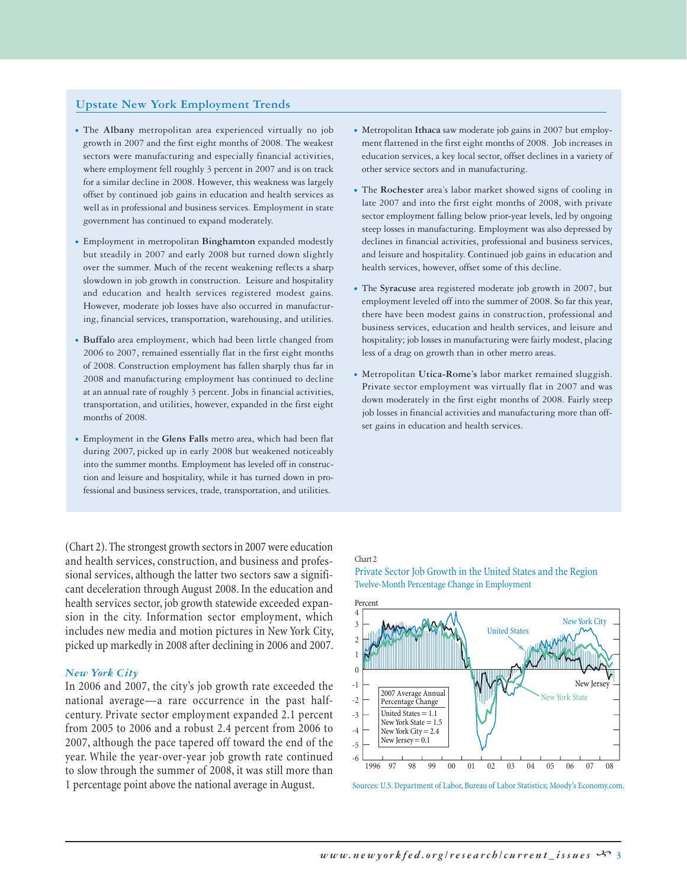# **Upstate New York Employment Trends**

- The **Albany** metropolitan area experienced virtually no job growth in 2007 and the first eight months of 2008. The weakest sectors were manufacturing and especially financial activities, where employment fell roughly 3 percent in 2007 and is on track for a similar decline in 2008. However, this weakness was largely offset by continued job gains in education and health services as well as in professional and business services. Employment in state government has continued to expand moderately.
- Employment in metropolitan **Binghamton** expanded modestly but steadily in 2007 and early 2008 but turned down slightly over the summer. Much of the recent weakening reflects a sharp slowdown in job growth in construction. Leisure and hospitality and education and health services registered modest gains. However, moderate job losses have also occurred in manufacturing, financial services, transportation, warehousing, and utilities.
- **Buffalo** area employment, which had been little changed from 2006 to 2007, remained essentially flat in the first eight months of 2008. Construction employment has fallen sharply thus far in 2008 and manufacturing employment has continued to decline at an annual rate of roughly 3 percent. Jobs in financial activities, transportation, and utilities, however, expanded in the first eight months of 2008.
- Employment in the **Glens Falls** metro area, which had been flat during 2007, picked up in early 2008 but weakened noticeably into the summer months. Employment has leveled off in construction and leisure and hospitality, while it has turned down in professional and business services, trade, transportation, and utilities.

(Chart 2). The strongest growth sectors in 2007 were education and health services, construction, and business and professional services, although the latter two sectors saw a significant deceleration through August 2008. In the education and health services sector, job growth statewide exceeded expansion in the city. Information sector employment, which includes new media and motion pictures in New York City, picked up markedly in 2008 after declining in 2006 and 2007.

#### *New York City*

In 2006 and 2007, the city's job growth rate exceeded the national average—a rare occurrence in the past halfcentury. Private sector employment expanded 2.1 percent from 2005 to 2006 and a robust 2.4 percent from 2006 to 2007, although the pace tapered off toward the end of the year. While the year-over-year job growth rate continued to slow through the summer of 2008, it was still more than 1 percentage point above the national average in August.

- Metropolitan **Ithaca** saw moderate job gains in 2007 but employment flattened in the first eight months of 2008. Job increases in education services, a key local sector, offset declines in a variety of other service sectors and in manufacturing.
- The **Rochester** area's labor market showed signs of cooling in late 2007 and into the first eight months of 2008, with private sector employment falling below prior-year levels, led by ongoing steep losses in manufacturing. Employment was also depressed by declines in financial activities, professional and business services, and leisure and hospitality. Continued job gains in education and health services, however, offset some of this decline.
- The **Syracuse** area registered moderate job growth in 2007, but employment leveled off into the summer of 2008. So far this year, there have been modest gains in construction, professional and business services, education and health services, and leisure and hospitality; job losses in manufacturing were fairly modest, placing less of a drag on growth than in other metro areas.
- Metropolitan **Utica-Rome's** labor market remained sluggish. Private sector employment was virtually flat in 2007 and was down moderately in the first eight months of 2008. Fairly steep job losses in financial activities and manufacturing more than offset gains in education and health services.

#### Chart 2

Private Sector Job Growth in the United States and the Region Twelve-Month Percentage Change in Employment



Sources: U.S. Department of Labor, Bureau of Labor Statistics; Moody's Economy.com.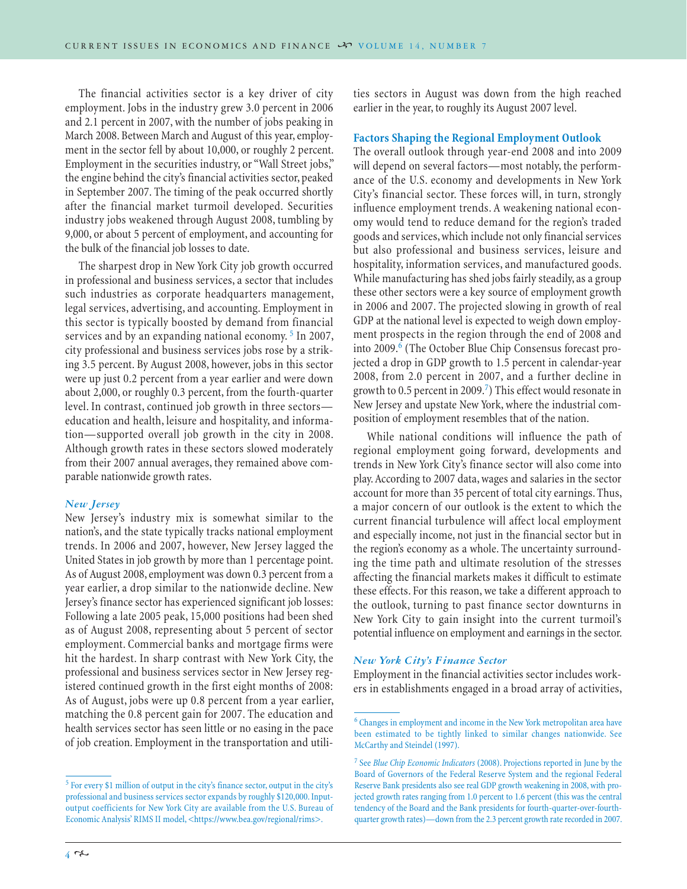The financial activities sector is a key driver of city employment. Jobs in the industry grew 3.0 percent in 2006 and 2.1 percent in 2007, with the number of jobs peaking in March 2008. Between March and August of this year, employment in the sector fell by about 10,000, or roughly 2 percent. Employment in the securities industry, or "Wall Street jobs," the engine behind the city's financial activities sector, peaked in September 2007. The timing of the peak occurred shortly after the financial market turmoil developed. Securities industry jobs weakened through August 2008, tumbling by 9,000, or about 5 percent of employment, and accounting for the bulk of the financial job losses to date.

The sharpest drop in New York City job growth occurred in professional and business services, a sector that includes such industries as corporate headquarters management, legal services, advertising, and accounting. Employment in this sector is typically boosted by demand from financial services and by an expanding national economy.<sup>5</sup> In 2007, city professional and business services jobs rose by a striking 3.5 percent. By August 2008, however, jobs in this sector were up just 0.2 percent from a year earlier and were down about 2,000, or roughly 0.3 percent, from the fourth-quarter level. In contrast, continued job growth in three sectors education and health, leisure and hospitality, and information—supported overall job growth in the city in 2008. Although growth rates in these sectors slowed moderately from their 2007 annual averages, they remained above comparable nationwide growth rates.

#### *New Jersey*

New Jersey's industry mix is somewhat similar to the nation's, and the state typically tracks national employment trends. In 2006 and 2007, however, New Jersey lagged the United States in job growth by more than 1 percentage point. As of August 2008, employment was down 0.3 percent from a year earlier, a drop similar to the nationwide decline. New Jersey's finance sector has experienced significant job losses: Following a late 2005 peak, 15,000 positions had been shed as of August 2008, representing about 5 percent of sector employment. Commercial banks and mortgage firms were hit the hardest. In sharp contrast with New York City, the professional and business services sector in New Jersey registered continued growth in the first eight months of 2008: As of August, jobs were up 0.8 percent from a year earlier, matching the 0.8 percent gain for 2007. The education and health services sector has seen little or no easing in the pace of job creation. Employment in the transportation and utilities sectors in August was down from the high reached earlier in the year, to roughly its August 2007 level.

# **Factors Shaping the Regional Employment Outlook**

The overall outlook through year-end 2008 and into 2009 will depend on several factors—most notably, the performance of the U.S. economy and developments in New York City's financial sector. These forces will, in turn, strongly influence employment trends. A weakening national economy would tend to reduce demand for the region's traded goods and services, which include not only financial services but also professional and business services, leisure and hospitality, information services, and manufactured goods. While manufacturing has shed jobs fairly steadily, as a group these other sectors were a key source of employment growth in 2006 and 2007. The projected slowing in growth of real GDP at the national level is expected to weigh down employment prospects in the region through the end of 2008 and into 2009.<sup>6</sup> (The October Blue Chip Consensus forecast projected a drop in GDP growth to 1.5 percent in calendar-year 2008, from 2.0 percent in 2007, and a further decline in growth to 0.5 percent in 2009.<sup>7</sup>) This effect would resonate in New Jersey and upstate New York, where the industrial composition of employment resembles that of the nation.

While national conditions will influence the path of regional employment going forward, developments and trends in New York City's finance sector will also come into play. According to 2007 data, wages and salaries in the sector account for more than 35 percent of total city earnings. Thus, a major concern of our outlook is the extent to which the current financial turbulence will affect local employment and especially income, not just in the financial sector but in the region's economy as a whole. The uncertainty surrounding the time path and ultimate resolution of the stresses affecting the financial markets makes it difficult to estimate these effects. For this reason, we take a different approach to the outlook, turning to past finance sector downturns in New York City to gain insight into the current turmoil's potential influence on employment and earnings in the sector.

#### *New York City's Finance Sector*

Employment in the financial activities sector includes workers in establishments engaged in a broad array of activities,

<sup>5</sup> For every \$1 million of output in the city's finance sector, output in the city's professional and business services sector expands by roughly \$120,000. Inputoutput coefficients for New York City are available from the U.S. Bureau of Economic Analysis' RIMS II model, <https://www.bea.gov/regional/rims>.

<sup>6</sup> Changes in employment and income in the New York metropolitan area have been estimated to be tightly linked to similar changes nationwide. See McCarthy and Steindel (1997).

<sup>7</sup> See *Blue Chip Economic Indicators* (2008). Projections reported in June by the Board of Governors of the Federal Reserve System and the regional Federal Reserve Bank presidents also see real GDP growth weakening in 2008, with projected growth rates ranging from 1.0 percent to 1.6 percent (this was the central tendency of the Board and the Bank presidents for fourth-quarter-over-fourthquarter growth rates)—down from the 2.3 percent growth rate recorded in 2007.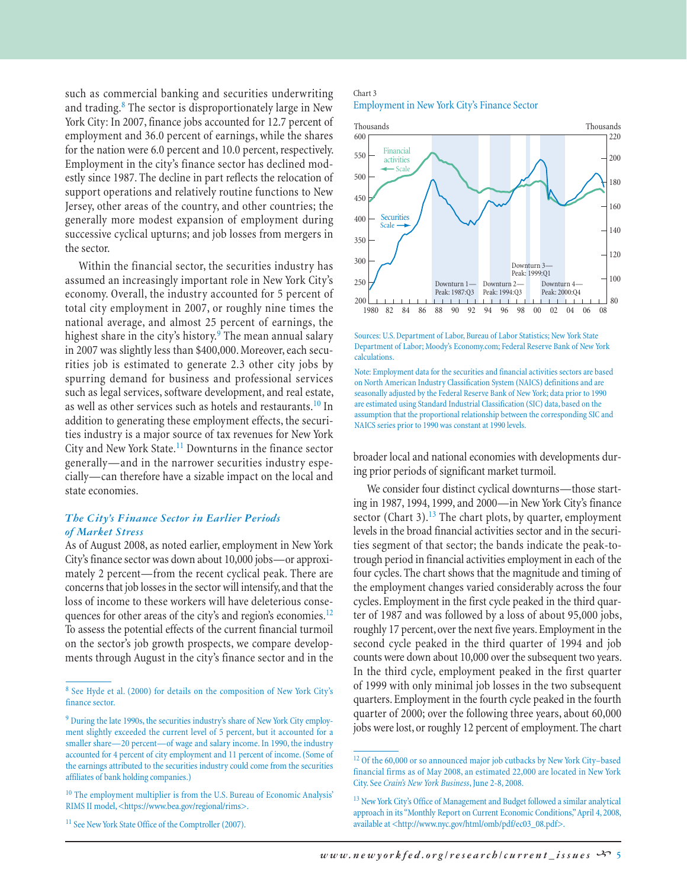such as commercial banking and securities underwriting and trading.<sup>8</sup> The sector is disproportionately large in New York City: In 2007, finance jobs accounted for 12.7 percent of employment and 36.0 percent of earnings, while the shares for the nation were 6.0 percent and 10.0 percent, respectively. Employment in the city's finance sector has declined modestly since 1987. The decline in part reflects the relocation of support operations and relatively routine functions to New Jersey, other areas of the country, and other countries; the generally more modest expansion of employment during successive cyclical upturns; and job losses from mergers in the sector.

Within the financial sector, the securities industry has assumed an increasingly important role in New York City's economy. Overall, the industry accounted for 5 percent of total city employment in 2007, or roughly nine times the national average, and almost 25 percent of earnings, the highest share in the city's history.<sup>9</sup> The mean annual salary in 2007 was slightly less than \$400,000. Moreover, each securities job is estimated to generate 2.3 other city jobs by spurring demand for business and professional services such as legal services, software development, and real estate, as well as other services such as hotels and restaurants.<sup>10</sup> In addition to generating these employment effects, the securities industry is a major source of tax revenues for New York City and New York State.<sup>11</sup> Downturns in the finance sector generally—and in the narrower securities industry especially—can therefore have a sizable impact on the local and state economies.

# *The City's Finance Sector in Earlier Periods of Market Stress*

As of August 2008, as noted earlier, employment in New York City's finance sector was down about 10,000 jobs—or approximately 2 percent—from the recent cyclical peak. There are concerns that job losses in the sector will intensify, and that the loss of income to these workers will have deleterious consequences for other areas of the city's and region's economies.<sup>12</sup> To assess the potential effects of the current financial turmoil on the sector's job growth prospects, we compare developments through August in the city's finance sector and in the

#### Chart 3 Employment in New York City's Finance Sector



Sources: U.S. Department of Labor, Bureau of Labor Statistics; New York State Department of Labor; Moody's Economy.com; Federal Reserve Bank of New York calculations.

Note: Employment data for the securities and financial activities sectors are based on North American Industry Classification System (NAICS) definitions and are seasonally adjusted by the Federal Reserve Bank of New York; data prior to 1990 are estimated using Standard Industrial Classification (SIC) data, based on the assumption that the proportional relationship between the corresponding SIC and NAICS series prior to 1990 was constant at 1990 levels.

broader local and national economies with developments during prior periods of significant market turmoil.

We consider four distinct cyclical downturns—those starting in 1987, 1994, 1999, and 2000—in New York City's finance sector (Chart 3). $^{13}$  The chart plots, by quarter, employment levels in the broad financial activities sector and in the securities segment of that sector; the bands indicate the peak-totrough period in financial activities employment in each of the four cycles. The chart shows that the magnitude and timing of the employment changes varied considerably across the four cycles. Employment in the first cycle peaked in the third quarter of 1987 and was followed by a loss of about 95,000 jobs, roughly 17 percent, over the next five years. Employment in the second cycle peaked in the third quarter of 1994 and job counts were down about 10,000 over the subsequent two years. In the third cycle, employment peaked in the first quarter of 1999 with only minimal job losses in the two subsequent quarters. Employment in the fourth cycle peaked in the fourth quarter of 2000; over the following three years, about 60,000 jobs were lost, or roughly 12 percent of employment. The chart

<sup>8</sup> See Hyde et al. (2000) for details on the composition of New York City's finance sector.

<sup>&</sup>lt;sup>9</sup> During the late 1990s, the securities industry's share of New York City employment slightly exceeded the current level of 5 percent, but it accounted for a smaller share—20 percent—of wage and salary income. In 1990, the industry accounted for 4 percent of city employment and 11 percent of income. (Some of the earnings attributed to the securities industry could come from the securities affiliates of bank holding companies.)

<sup>&</sup>lt;sup>10</sup> The employment multiplier is from the U.S. Bureau of Economic Analysis' RIMS II model, <https://www.bea.gov/regional/rims>.

<sup>&</sup>lt;sup>11</sup> See New York State Office of the Comptroller (2007).

<sup>&</sup>lt;sup>12</sup> Of the 60,000 or so announced major job cutbacks by New York City–based financial firms as of May 2008, an estimated 22,000 are located in New York City. See *Crain's New York Business*, June 2-8, 2008.

<sup>&</sup>lt;sup>13</sup> New York City's Office of Management and Budget followed a similar analytical approach in its "Monthly Report on Current Economic Conditions," April 4, 2008, available at <http://www.nyc.gov/html/omb/pdf/ec03\_08.pdf>.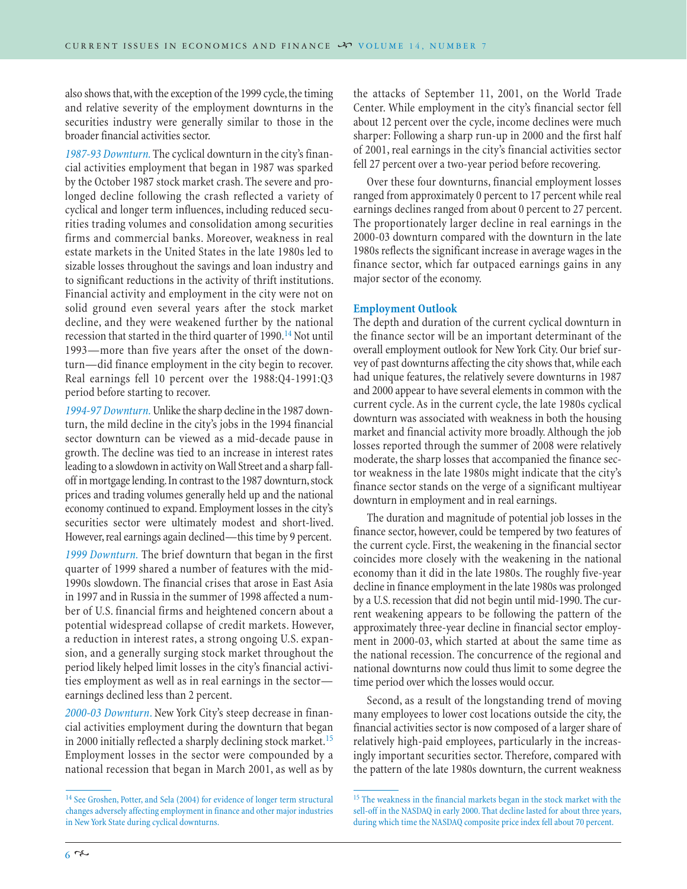also shows that, with the exception of the 1999 cycle, the timing and relative severity of the employment downturns in the securities industry were generally similar to those in the broader financial activities sector.

*1987-93 Downturn.* The cyclical downturn in the city's financial activities employment that began in 1987 was sparked by the October 1987 stock market crash. The severe and prolonged decline following the crash reflected a variety of cyclical and longer term influences, including reduced securities trading volumes and consolidation among securities firms and commercial banks. Moreover, weakness in real estate markets in the United States in the late 1980s led to sizable losses throughout the savings and loan industry and to significant reductions in the activity of thrift institutions. Financial activity and employment in the city were not on solid ground even several years after the stock market decline, and they were weakened further by the national recession that started in the third quarter of  $1990.<sup>14</sup>$  Not until 1993—more than five years after the onset of the downturn—did finance employment in the city begin to recover. Real earnings fell 10 percent over the 1988:Q4-1991:Q3 period before starting to recover.

*1994-97 Downturn.* Unlike the sharp decline in the 1987 downturn, the mild decline in the city's jobs in the 1994 financial sector downturn can be viewed as a mid-decade pause in growth. The decline was tied to an increase in interest rates leading to a slowdown in activity on Wall Street and a sharp falloff in mortgage lending. In contrast to the 1987 downturn, stock prices and trading volumes generally held up and the national economy continued to expand. Employment losses in the city's securities sector were ultimately modest and short-lived. However, real earnings again declined—this time by 9 percent.

*1999 Downturn.* The brief downturn that began in the first quarter of 1999 shared a number of features with the mid-1990s slowdown. The financial crises that arose in East Asia in 1997 and in Russia in the summer of 1998 affected a number of U.S. financial firms and heightened concern about a potential widespread collapse of credit markets. However, a reduction in interest rates, a strong ongoing U.S. expansion, and a generally surging stock market throughout the period likely helped limit losses in the city's financial activities employment as well as in real earnings in the sector earnings declined less than 2 percent.

*2000-03 Downturn*. New York City's steep decrease in financial activities employment during the downturn that began in 2000 initially reflected a sharply declining stock market.<sup>15</sup> Employment losses in the sector were compounded by a national recession that began in March 2001, as well as by the attacks of September 11, 2001, on the World Trade Center. While employment in the city's financial sector fell about 12 percent over the cycle, income declines were much sharper: Following a sharp run-up in 2000 and the first half of 2001, real earnings in the city's financial activities sector fell 27 percent over a two-year period before recovering.

Over these four downturns, financial employment losses ranged from approximately 0 percent to 17 percent while real earnings declines ranged from about 0 percent to 27 percent. The proportionately larger decline in real earnings in the 2000-03 downturn compared with the downturn in the late 1980s reflects the significant increase in average wages in the finance sector, which far outpaced earnings gains in any major sector of the economy.

# **Employment Outlook**

The depth and duration of the current cyclical downturn in the finance sector will be an important determinant of the overall employment outlook for New York City. Our brief survey of past downturns affecting the city shows that, while each had unique features, the relatively severe downturns in 1987 and 2000 appear to have several elements in common with the current cycle. As in the current cycle, the late 1980s cyclical downturn was associated with weakness in both the housing market and financial activity more broadly. Although the job losses reported through the summer of 2008 were relatively moderate, the sharp losses that accompanied the finance sector weakness in the late 1980s might indicate that the city's finance sector stands on the verge of a significant multiyear downturn in employment and in real earnings.

The duration and magnitude of potential job losses in the finance sector, however, could be tempered by two features of the current cycle. First, the weakening in the financial sector coincides more closely with the weakening in the national economy than it did in the late 1980s. The roughly five-year decline in finance employment in the late 1980s was prolonged by a U.S. recession that did not begin until mid-1990. The current weakening appears to be following the pattern of the approximately three-year decline in financial sector employment in 2000-03, which started at about the same time as the national recession. The concurrence of the regional and national downturns now could thus limit to some degree the time period over which the losses would occur.

Second, as a result of the longstanding trend of moving many employees to lower cost locations outside the city, the financial activities sector is now composed of a larger share of relatively high-paid employees, particularly in the increasingly important securities sector. Therefore, compared with the pattern of the late 1980s downturn, the current weakness

<sup>&</sup>lt;sup>14</sup> See Groshen, Potter, and Sela (2004) for evidence of longer term structural changes adversely affecting employment in finance and other major industries in New York State during cyclical downturns.

 $^{15}$  The weakness in the financial markets began in the stock market with the sell-off in the NASDAQ in early 2000. That decline lasted for about three years, during which time the NASDAQ composite price index fell about 70 percent.